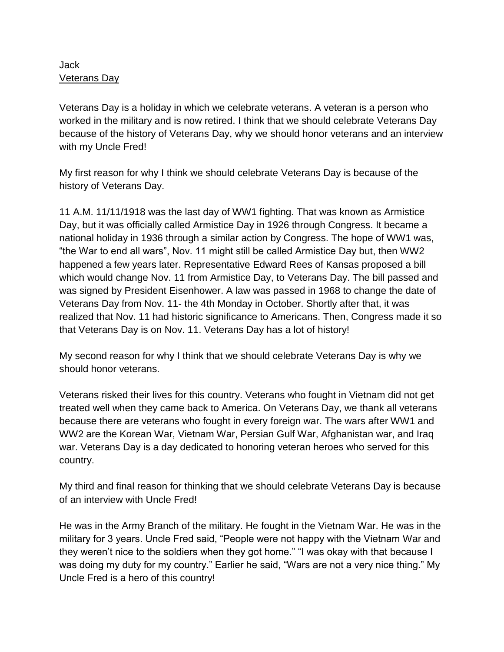## Jack Veterans Day

Veterans Day is a holiday in which we celebrate veterans. A veteran is a person who worked in the military and is now retired. I think that we should celebrate Veterans Day because of the history of Veterans Day, why we should honor veterans and an interview with my Uncle Fred!

My first reason for why I think we should celebrate Veterans Day is because of the history of Veterans Day.

11 A.M. 11/11/1918 was the last day of WW1 fighting. That was known as Armistice Day, but it was officially called Armistice Day in 1926 through Congress. It became a national holiday in 1936 through a similar action by Congress. The hope of WW1 was, "the War to end all wars", Nov. 11 might still be called Armistice Day but, then WW2 happened a few years later. Representative Edward Rees of Kansas proposed a bill which would change Nov. 11 from Armistice Day, to Veterans Day. The bill passed and was signed by President Eisenhower. A law was passed in 1968 to change the date of Veterans Day from Nov. 11- the 4th Monday in October. Shortly after that, it was realized that Nov. 11 had historic significance to Americans. Then, Congress made it so that Veterans Day is on Nov. 11. Veterans Day has a lot of history!

My second reason for why I think that we should celebrate Veterans Day is why we should honor veterans.

Veterans risked their lives for this country. Veterans who fought in Vietnam did not get treated well when they came back to America. On Veterans Day, we thank all veterans because there are veterans who fought in every foreign war. The wars after WW1 and WW2 are the Korean War, Vietnam War, Persian Gulf War, Afghanistan war, and Iraq war. Veterans Day is a day dedicated to honoring veteran heroes who served for this country.

My third and final reason for thinking that we should celebrate Veterans Day is because of an interview with Uncle Fred!

He was in the Army Branch of the military. He fought in the Vietnam War. He was in the military for 3 years. Uncle Fred said, "People were not happy with the Vietnam War and they weren't nice to the soldiers when they got home." "I was okay with that because I was doing my duty for my country." Earlier he said, "Wars are not a very nice thing." My Uncle Fred is a hero of this country!